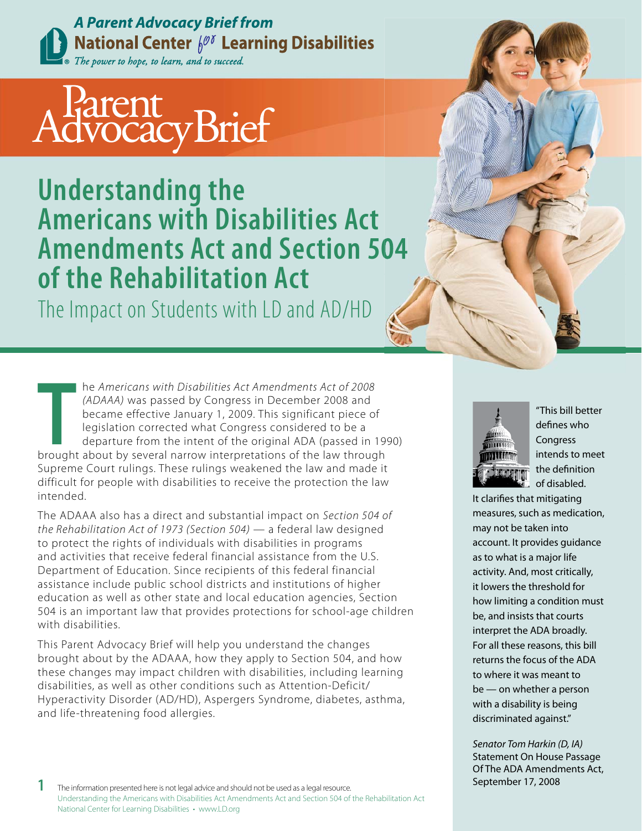**A Parent Advocacy Brief from National Center**  $\oint^{\mathscr{D} \delta}$  **Learning Disabilities** The power to hope, to learn, and to succeed.

# AdvocacyBrief

**Understanding the Americans with Disabilities Act Amendments Act and Section 504 of the Rehabilitation Act**

The Impact on Students with LD and AD/HD

**THE AMERICAN WAS SERVERT ABOUT ABOUT ABOUT ABOUT ABOUT ABOVE (ADAAA) was passed by Congress in December 2008 and became effective January 1, 2009. This significant piece of legislation corrected what Congress considered t**  he Americans with Disabilities Act Amendments Act of 2008 (ADAAA) was passed by Congress in December 2008 and became effective January 1, 2009. This significant piece of legislation corrected what Congress considered to be a departure from the intent of the original ADA (passed in 1990) Supreme Court rulings. These rulings weakened the law and made it difficult for people with disabilities to receive the protection the law intended.

The ADAAA also has a direct and substantial impact on Section 504 of the Rehabilitation Act of 1973 (Section 504) — a federal law designed to protect the rights of individuals with disabilities in programs and activities that receive federal financial assistance from the U.S. Department of Education. Since recipients of this federal financial assistance include public school districts and institutions of higher education as well as other state and local education agencies, Section 504 is an important law that provides protections for school-age children with disabilities.

This Parent Advocacy Brief will help you understand the changes brought about by the ADAAA, how they apply to Section 504, and how these changes may impact children with disabilities, including learning disabilities, as well as other conditions such as Attention-Deficit/ Hyperactivity Disorder (AD/HD), Aspergers Syndrome, diabetes, asthma, and life-threatening food allergies.



"This bill better defines who **Congress** intends to meet the definition of disabled.

It clarifies that mitigating measures, such as medication, may not be taken into account. It provides guidance as to what is a major life activity. And, most critically, it lowers the threshold for how limiting a condition must be, and insists that courts interpret the ADA broadly. For all these reasons, this bill returns the focus of the ADA to where it was meant to be — on whether a person with a disability is being discriminated against."

Senator Tom Harkin (D, IA) Statement On House Passage Of The ADA Amendments Act,

**1** The information presented here is not legal advice and should not be used as a legal resource. **17.** September 17, 2008 Understanding the Americans with Disabilities Act Amendments Act and Section 504 of the Rehabilitation Act National Center for Learning Disabilities • www.LD.org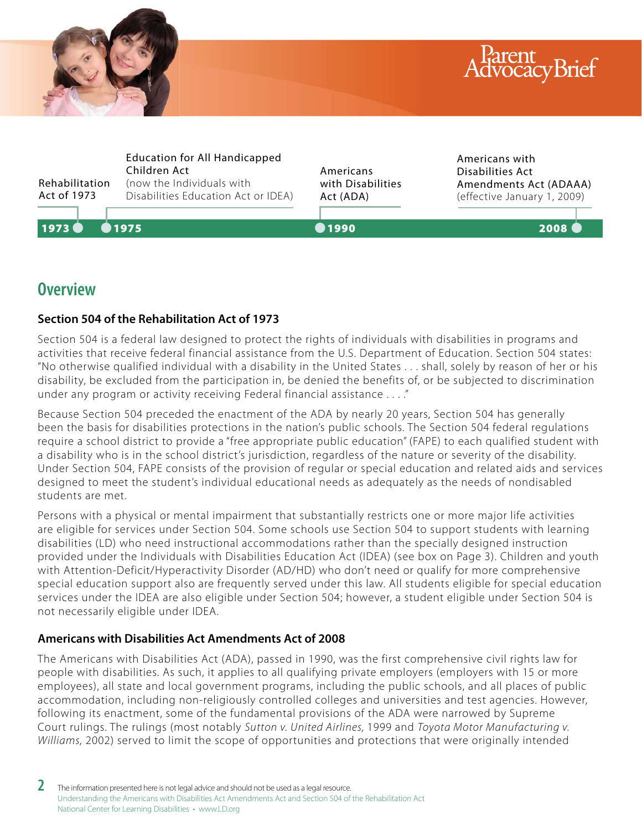



## **Overview**

## **Section 504 of the Rehabilitation Act of 1973**

Section 504 is a federal law designed to protect the rights of individuals with disabilities in programs and activities that receive federal financial assistance from the U.S. Department of Education. Section 504 states: "No otherwise qualified individual with a disability in the United States . . . shall, solely by reason of her or his disability, be excluded from the participation in, be denied the benefits of, or be subjected to discrimination under any program or activity receiving Federal financial assistance . . . ."

Because Section 504 preceded the enactment of the ADA by nearly 20 years, Section 504 has generally been the basis for disabilities protections in the nation's public schools. The Section 504 federal regulations require a school district to provide a "free appropriate public education" (FAPE) to each qualified student with a disability who is in the school district's jurisdiction, regardless of the nature or severity of the disability. Under Section 504, FAPE consists of the provision of regular or special education and related aids and services designed to meet the student's individual educational needs as adequately as the needs of nondisabled students are met.

Persons with a physical or mental impairment that substantially restricts one or more major life activities are eligible for services under Section 504. Some schools use Section 504 to support students with learning disabilities (LD) who need instructional accommodations rather than the specially designed instruction provided under the Individuals with Disabilities Education Act (IDEA) (see box on Page 3). Children and youth with Attention-Deficit/Hyperactivity Disorder (AD/HD) who don't need or qualify for more comprehensive special education support also are frequently served under this law. All students eligible for special education services under the IDEA are also eligible under Section 504; however, a student eligible under Section 504 is not necessarily eligible under IDEA.

## **Americans with Disabilities Act Amendments Act of 2008**

The Americans with Disabilities Act (ADA), passed in 1990, was the first comprehensive civil rights law for people with disabilities. As such, it applies to all qualifying private employers (employers with 15 or more employees), all state and local government programs, including the public schools, and all places of public accommodation, including non-religiously controlled colleges and universities and test agencies. However, following its enactment, some of the fundamental provisions of the ADA were narrowed by Supreme Court rulings. The rulings (most notably Sutton v. United Airlines, 1999 and Toyota Motor Manufacturing v. Williams, 2002) served to limit the scope of opportunities and protections that were originally intended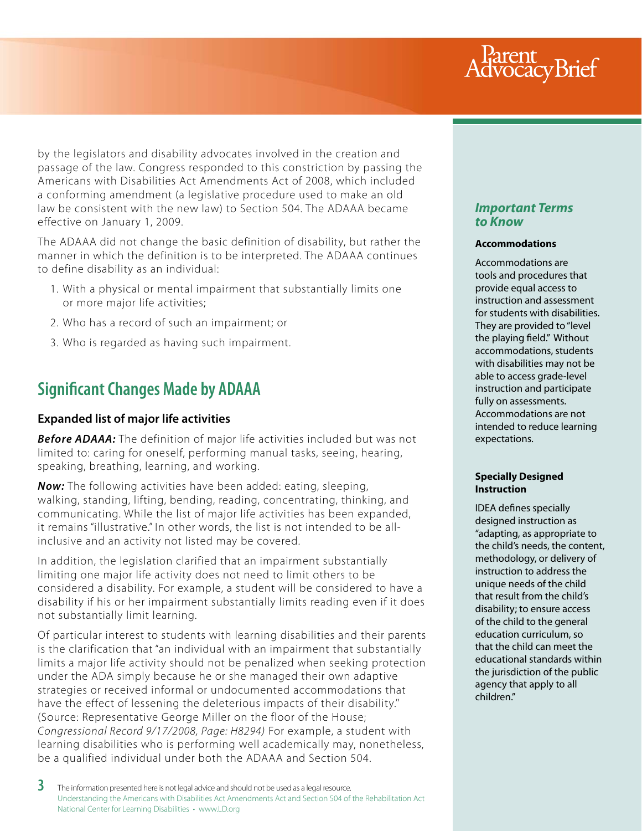## Parent<br>dvocacyBrief

by the legislators and disability advocates involved in the creation and passage of the law. Congress responded to this constriction by passing the Americans with Disabilities Act Amendments Act of 2008, which included a conforming amendment (a legislative procedure used to make an old law be consistent with the new law) to Section 504. The ADAAA became effective on January 1, 2009.

The ADAAA did not change the basic definition of disability, but rather the manner in which the definition is to be interpreted. The ADAAA continues to define disability as an individual:

- 1. With a physical or mental impairment that substantially limits one or more major life activities;
- 2. Who has a record of such an impairment; or
- 3. Who is regarded as having such impairment.

## **Significant Changes Made by ADAAA**

## **Expanded list of major life activities**

**Before ADAAA:** The definition of major life activities included but was not limited to: caring for oneself, performing manual tasks, seeing, hearing, speaking, breathing, learning, and working.

*Now:* The following activities have been added: eating, sleeping, walking, standing, lifting, bending, reading, concentrating, thinking, and communicating. While the list of major life activities has been expanded, it remains "illustrative." In other words, the list is not intended to be allinclusive and an activity not listed may be covered.

In addition, the legislation clarified that an impairment substantially limiting one major life activity does not need to limit others to be considered a disability. For example, a student will be considered to have a disability if his or her impairment substantially limits reading even if it does not substantially limit learning.

Of particular interest to students with learning disabilities and their parents is the clarification that "an individual with an impairment that substantially limits a major life activity should not be penalized when seeking protection under the ADA simply because he or she managed their own adaptive strategies or received informal or undocumented accommodations that have the effect of lessening the deleterious impacts of their disability.'' (Source: Representative George Miller on the floor of the House; Congressional Record 9/17/2008, Page: H8294) For example, a student with learning disabilities who is performing well academically may, nonetheless, be a qualified individual under both the ADAAA and Section 504.

## *Important Terms to Know*

#### **Accommodations**

Accommodations are tools and procedures that provide equal access to instruction and assessment for students with disabilities. They are provided to "level the playing field." Without accommodations, students with disabilities may not be able to access grade-level instruction and participate fully on assessments. Accommodations are not intended to reduce learning expectations.

#### **Specially Designed Instruction**

IDEA defines specially designed instruction as "adapting, as appropriate to the child's needs, the content, methodology, or delivery of instruction to address the unique needs of the child that result from the child's disability; to ensure access of the child to the general education curriculum, so that the child can meet the educational standards within the jurisdiction of the public agency that apply to all children."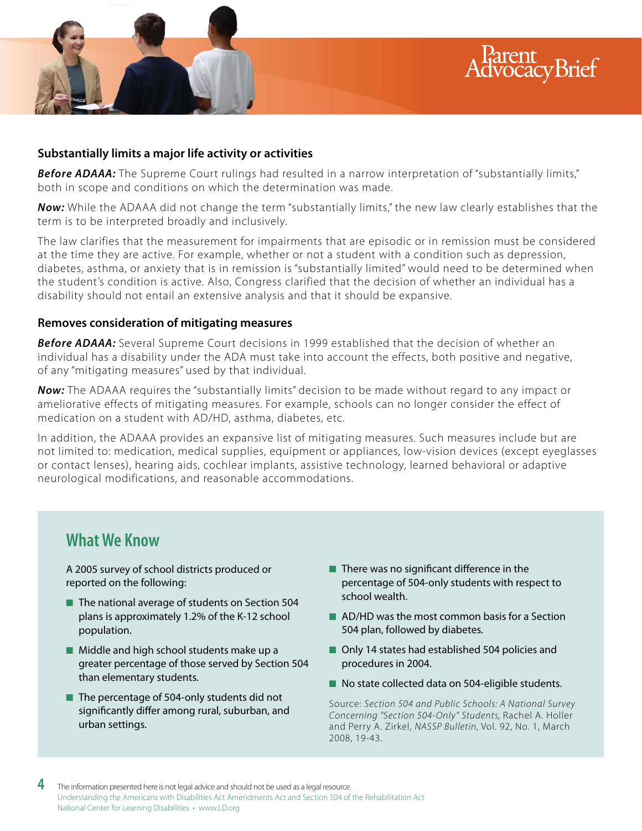

**Before ADAAA:** The Supreme Court rulings had resulted in a narrow interpretation of "substantially limits," both in scope and conditions on which the determination was made.

*Now:* While the ADAAA did not change the term "substantially limits," the new law clearly establishes that the term is to be interpreted broadly and inclusively.

The law clarifies that the measurement for impairments that are episodic or in remission must be considered at the time they are active. For example, whether or not a student with a condition such as depression, diabetes, asthma, or anxiety that is in remission is "substantially limited" would need to be determined when the student's condition is active. Also, Congress clarified that the decision of whether an individual has a disability should not entail an extensive analysis and that it should be expansive.

### **Removes consideration of mitigating measures**

*Before ADAAA:* Several Supreme Court decisions in 1999 established that the decision of whether an individual has a disability under the ADA must take into account the effects, both positive and negative, of any "mitigating measures" used by that individual.

*Now:* The ADAAA requires the "substantially limits" decision to be made without regard to any impact or ameliorative effects of mitigating measures. For example, schools can no longer consider the effect of medication on a student with AD/HD, asthma, diabetes, etc.

In addition, the ADAAA provides an expansive list of mitigating measures. Such measures include but are not limited to: medication, medical supplies, equipment or appliances, low-vision devices (except eyeglasses or contact lenses), hearing aids, cochlear implants, assistive technology, learned behavioral or adaptive neurological modifications, and reasonable accommodations.

## **What We Know**

A 2005 survey of school districts produced or reported on the following:

- The national average of students on Section 504 plans is approximately 1.2% of the K-12 school population.
- Middle and high school students make up a greater percentage of those served by Section 504 than elementary students.
- The percentage of 504-only students did not significantly differ among rural, suburban, and urban settings.

 $\blacksquare$  There was no significant difference in the percentage of 504-only students with respect to school wealth.

rent<br>ocacyBrief

- AD/HD was the most common basis for a Section 504 plan, followed by diabetes.
- Only 14 states had established 504 policies and procedures in 2004.
- No state collected data on 504-eligible students.

Source: Section 504 and Public Schools: A National Survey Concerning "Section 504-Only" Students, Rachel A. Holler and Perry A. Zirkel, NASSP Bulletin, Vol. 92, No. 1, March 2008, 19-43.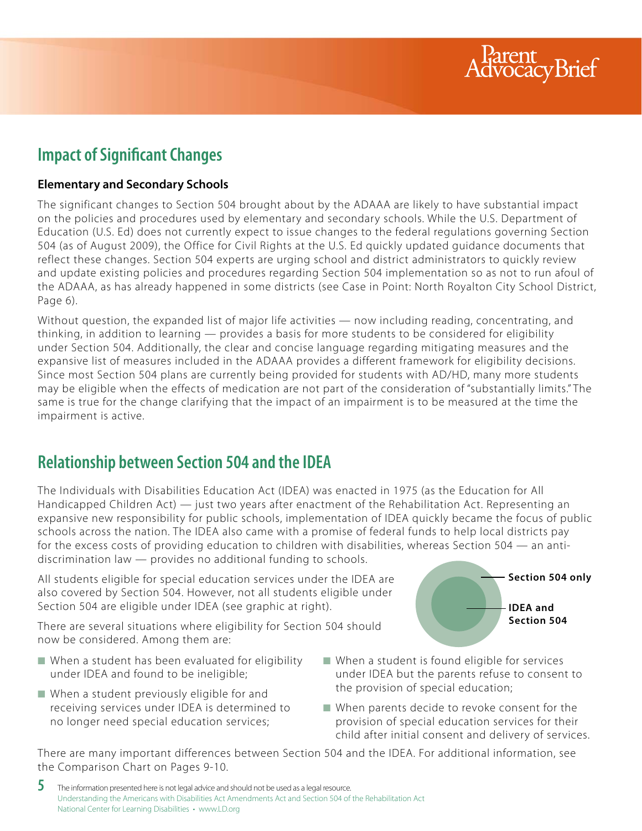

## **Impact of Significant Changes**

## **Elementary and Secondary Schools**

The significant changes to Section 504 brought about by the ADAAA are likely to have substantial impact on the policies and procedures used by elementary and secondary schools. While the U.S. Department of Education (U.S. Ed) does not currently expect to issue changes to the federal regulations governing Section 504 (as of August 2009), the Office for Civil Rights at the U.S. Ed quickly updated guidance documents that reflect these changes. Section 504 experts are urging school and district administrators to quickly review and update existing policies and procedures regarding Section 504 implementation so as not to run afoul of the ADAAA, as has already happened in some districts (see Case in Point: North Royalton City School District, Page 6).

Without question, the expanded list of major life activities — now including reading, concentrating, and thinking, in addition to learning — provides a basis for more students to be considered for eligibility under Section 504. Additionally, the clear and concise language regarding mitigating measures and the expansive list of measures included in the ADAAA provides a different framework for eligibility decisions. Since most Section 504 plans are currently being provided for students with AD/HD, many more students may be eligible when the effects of medication are not part of the consideration of "substantially limits." The same is true for the change clarifying that the impact of an impairment is to be measured at the time the impairment is active.

## **Relationship between Section 504 and the IDEA**

The Individuals with Disabilities Education Act (IDEA) was enacted in 1975 (as the Education for All Handicapped Children Act) — just two years after enactment of the Rehabilitation Act. Representing an expansive new responsibility for public schools, implementation of IDEA quickly became the focus of public schools across the nation. The IDEA also came with a promise of federal funds to help local districts pay for the excess costs of providing education to children with disabilities, whereas Section 504 — an antidiscrimination law — provides no additional funding to schools.

All students eligible for special education services under the IDEA are also covered by Section 504. However, not all students eligible under Section 504 are eligible under IDEA (see graphic at right).

There are several situations where eligibility for Section 504 should now be considered. Among them are:

- When a student has been evaluated for eligibility under IDEA and found to be ineligible;
- When a student previously eligible for and receiving services under IDEA is determined to no longer need special education services;



- When a student is found eligible for services under IDEA but the parents refuse to consent to the provision of special education;
- When parents decide to revoke consent for the provision of special education services for their child after initial consent and delivery of services.

There are many important differences between Section 504 and the IDEA. For additional information, see the Comparison Chart on Pages 9-10.

 ${\bf 5}$  The information presented here is not legal advice and should not be used as a legal resource. Understanding the Americans with Disabilities Act Amendments Act and Section 504 of the Rehabilitation Act National Center for Learning Disabilities • www.LD.org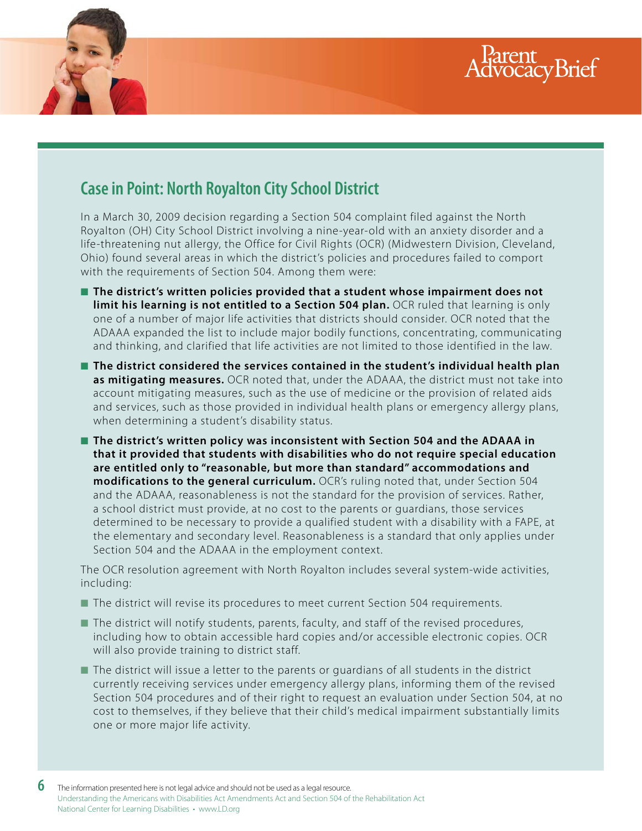



## **Case in Point: North Royalton City School District**

In a March 30, 2009 decision regarding a Section 504 complaint filed against the North Royalton (OH) City School District involving a nine-year-old with an anxiety disorder and a life-threatening nut allergy, the Office for Civil Rights (OCR) (Midwestern Division, Cleveland, Ohio) found several areas in which the district's policies and procedures failed to comport with the requirements of Section 504. Among them were:

- The district's written policies provided that a student whose impairment does not limit his learning is not entitled to a Section 504 plan. OCR ruled that learning is only one of a number of major life activities that districts should consider. OCR noted that the ADAAA expanded the list to include major bodily functions, concentrating, communicating and thinking, and clarified that life activities are not limited to those identified in the law.
- The district considered the services contained in the student's individual health plan **as mitigating measures.** OCR noted that, under the ADAAA, the district must not take into account mitigating measures, such as the use of medicine or the provision of related aids and services, such as those provided in individual health plans or emergency allergy plans, when determining a student's disability status.
- The district's written policy was inconsistent with Section 504 and the ADAAA in **that it provided that students with disabilities who do not require special education are entitled only to "reasonable, but more than standard" accommodations and modifications to the general curriculum.** OCR's ruling noted that, under Section 504 and the ADAAA, reasonableness is not the standard for the provision of services. Rather, a school district must provide, at no cost to the parents or guardians, those services determined to be necessary to provide a qualified student with a disability with a FAPE, at the elementary and secondary level. Reasonableness is a standard that only applies under Section 504 and the ADAAA in the employment context.

The OCR resolution agreement with North Royalton includes several system-wide activities, including:

- The district will revise its procedures to meet current Section 504 requirements.
- The district will notify students, parents, faculty, and staff of the revised procedures, including how to obtain accessible hard copies and/or accessible electronic copies. OCR will also provide training to district staff.
- The district will issue a letter to the parents or quardians of all students in the district currently receiving services under emergency allergy plans, informing them of the revised Section 504 procedures and of their right to request an evaluation under Section 504, at no cost to themselves, if they believe that their child's medical impairment substantially limits one or more major life activity.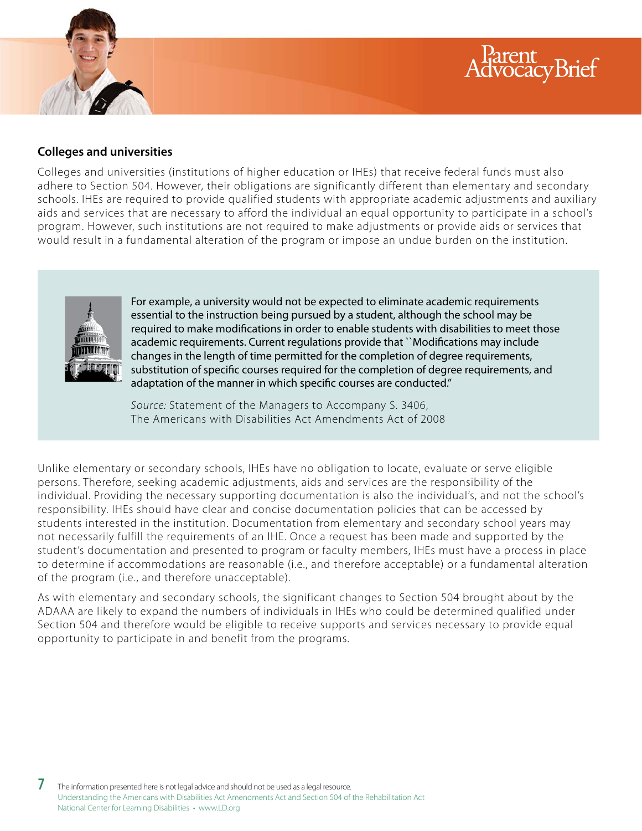### **Colleges and universities**

Colleges and universities (institutions of higher education or IHEs) that receive federal funds must also adhere to Section 504. However, their obligations are significantly different than elementary and secondary schools. IHEs are required to provide qualified students with appropriate academic adjustments and auxiliary aids and services that are necessary to afford the individual an equal opportunity to participate in a school's program. However, such institutions are not required to make adjustments or provide aids or services that would result in a fundamental alteration of the program or impose an undue burden on the institution.

Rarent<br>dvocacyBrief



For example, a university would not be expected to eliminate academic requirements essential to the instruction being pursued by a student, although the school may be required to make modifications in order to enable students with disabilities to meet those academic requirements. Current regulations provide that ``Modifications may include changes in the length of time permitted for the completion of degree requirements, substitution of specific courses required for the completion of degree requirements, and adaptation of the manner in which specific courses are conducted."

Source: Statement of the Managers to Accompany S. 3406, The Americans with Disabilities Act Amendments Act of 2008

Unlike elementary or secondary schools, IHEs have no obligation to locate, evaluate or serve eligible persons. Therefore, seeking academic adjustments, aids and services are the responsibility of the individual. Providing the necessary supporting documentation is also the individual's, and not the school's responsibility. IHEs should have clear and concise documentation policies that can be accessed by students interested in the institution. Documentation from elementary and secondary school years may not necessarily fulfill the requirements of an IHE. Once a request has been made and supported by the student's documentation and presented to program or faculty members, IHEs must have a process in place to determine if accommodations are reasonable (i.e., and therefore acceptable) or a fundamental alteration of the program (i.e., and therefore unacceptable).

As with elementary and secondary schools, the significant changes to Section 504 brought about by the ADAAA are likely to expand the numbers of individuals in IHEs who could be determined qualified under Section 504 and therefore would be eligible to receive supports and services necessary to provide equal opportunity to participate in and benefit from the programs.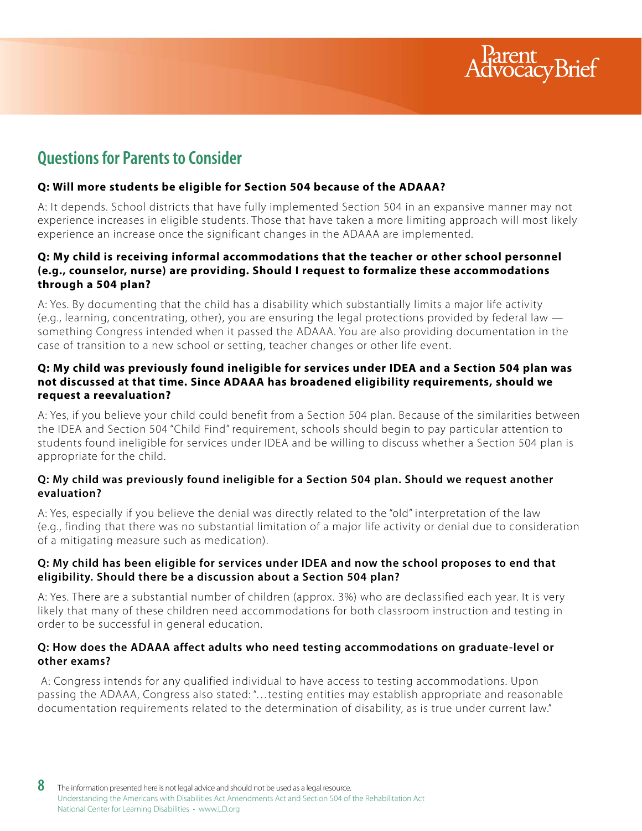

## **Questions for Parents to Consider**

#### **Q: Will more students be eligible for Section 504 because of the ADAAA?**

A: It depends. School districts that have fully implemented Section 504 in an expansive manner may not experience increases in eligible students. Those that have taken a more limiting approach will most likely experience an increase once the significant changes in the ADAAA are implemented.

#### **Q: My child is receiving informal accommodations that the teacher or other school personnel (e.g., counselor, nurse) are providing. Should I request to formalize these accommodations through a 504 plan?**

A: Yes. By documenting that the child has a disability which substantially limits a major life activity (e.g., learning, concentrating, other), you are ensuring the legal protections provided by federal law something Congress intended when it passed the ADAAA. You are also providing documentation in the case of transition to a new school or setting, teacher changes or other life event.

#### **Q: My child was previously found ineligible for services under IDEA and a Section 504 plan was not discussed at that time. Since ADAAA has broadened eligibility requirements, should we request a reevaluation?**

A: Yes, if you believe your child could benefit from a Section 504 plan. Because of the similarities between the IDEA and Section 504 "Child Find" requirement, schools should begin to pay particular attention to students found ineligible for services under IDEA and be willing to discuss whether a Section 504 plan is appropriate for the child.

#### **Q: My child was previously found ineligible for a Section 504 plan. Should we request another evaluation?**

A: Yes, especially if you believe the denial was directly related to the "old" interpretation of the law (e.g., finding that there was no substantial limitation of a major life activity or denial due to consideration of a mitigating measure such as medication).

#### **Q: My child has been eligible for services under IDEA and now the school proposes to end that eligibility. Should there be a discussion about a Section 504 plan?**

A: Yes. There are a substantial number of children (approx. 3%) who are declassified each year. It is very likely that many of these children need accommodations for both classroom instruction and testing in order to be successful in general education.

#### **Q: How does the ADAAA affect adults who need testing accommodations on graduate-level or other exams?**

 A: Congress intends for any qualified individual to have access to testing accommodations. Upon passing the ADAAA, Congress also stated: "…testing entities may establish appropriate and reasonable documentation requirements related to the determination of disability, as is true under current law."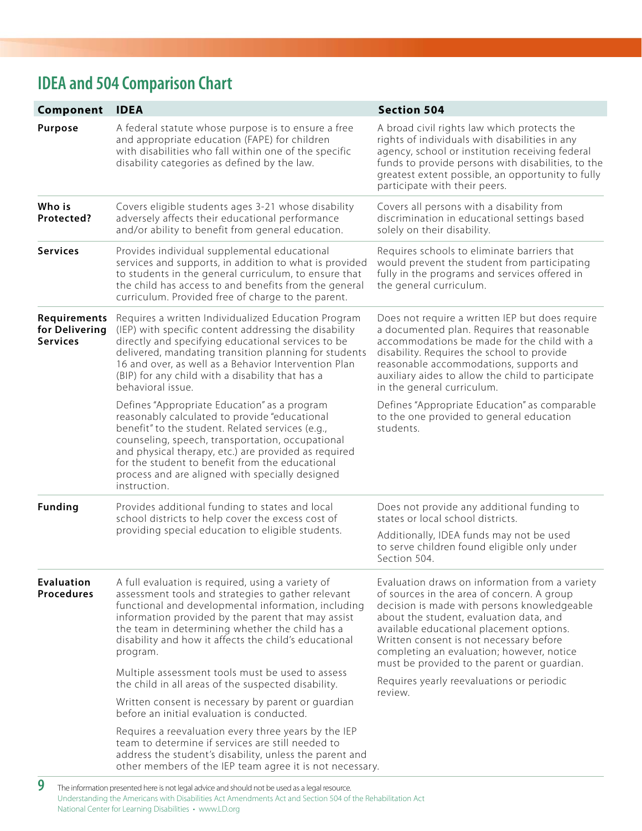## **IDEA and 504 Comparison Chart**

| Component                                         | <b>IDEA</b>                                                                                                                                                                                                                                                                                                                                                                         | <b>Section 504</b>                                                                                                                                                                                                                                                                                                                                                                                                                |
|---------------------------------------------------|-------------------------------------------------------------------------------------------------------------------------------------------------------------------------------------------------------------------------------------------------------------------------------------------------------------------------------------------------------------------------------------|-----------------------------------------------------------------------------------------------------------------------------------------------------------------------------------------------------------------------------------------------------------------------------------------------------------------------------------------------------------------------------------------------------------------------------------|
| <b>Purpose</b>                                    | A federal statute whose purpose is to ensure a free<br>and appropriate education (FAPE) for children<br>with disabilities who fall within one of the specific<br>disability categories as defined by the law.                                                                                                                                                                       | A broad civil rights law which protects the<br>rights of individuals with disabilities in any<br>agency, school or institution receiving federal<br>funds to provide persons with disabilities, to the<br>greatest extent possible, an opportunity to fully<br>participate with their peers.                                                                                                                                      |
| Who is<br>Protected?                              | Covers eligible students ages 3-21 whose disability<br>adversely affects their educational performance<br>and/or ability to benefit from general education.                                                                                                                                                                                                                         | Covers all persons with a disability from<br>discrimination in educational settings based<br>solely on their disability.                                                                                                                                                                                                                                                                                                          |
| <b>Services</b>                                   | Provides individual supplemental educational<br>services and supports, in addition to what is provided<br>to students in the general curriculum, to ensure that<br>the child has access to and benefits from the general<br>curriculum. Provided free of charge to the parent.                                                                                                      | Requires schools to eliminate barriers that<br>would prevent the student from participating<br>fully in the programs and services offered in<br>the general curriculum.                                                                                                                                                                                                                                                           |
| Requirements<br>for Delivering<br><b>Services</b> | Requires a written Individualized Education Program<br>(IEP) with specific content addressing the disability<br>directly and specifying educational services to be<br>delivered, mandating transition planning for students<br>16 and over, as well as a Behavior Intervention Plan<br>(BIP) for any child with a disability that has a<br>behavioral issue.                        | Does not require a written IEP but does require<br>a documented plan. Requires that reasonable<br>accommodations be made for the child with a<br>disability. Requires the school to provide<br>reasonable accommodations, supports and<br>auxiliary aides to allow the child to participate<br>in the general curriculum.                                                                                                         |
|                                                   | Defines "Appropriate Education" as a program<br>reasonably calculated to provide "educational<br>benefit" to the student. Related services (e.g.,<br>counseling, speech, transportation, occupational<br>and physical therapy, etc.) are provided as required<br>for the student to benefit from the educational<br>process and are aligned with specially designed<br>instruction. | Defines "Appropriate Education" as comparable<br>to the one provided to general education<br>students.                                                                                                                                                                                                                                                                                                                            |
| <b>Funding</b>                                    | Provides additional funding to states and local<br>school districts to help cover the excess cost of<br>providing special education to eligible students.                                                                                                                                                                                                                           | Does not provide any additional funding to<br>states or local school districts.<br>Additionally, IDEA funds may not be used<br>to serve children found eligible only under<br>Section 504.                                                                                                                                                                                                                                        |
| <b>Evaluation</b><br><b>Procedures</b>            | A full evaluation is required, using a variety of<br>assessment tools and strategies to gather relevant<br>functional and developmental information, including<br>information provided by the parent that may assist<br>the team in determining whether the child has a<br>disability and how it affects the child's educational<br>program.                                        | Evaluation draws on information from a variety<br>of sources in the area of concern. A group<br>decision is made with persons knowledgeable<br>about the student, evaluation data, and<br>available educational placement options.<br>Written consent is not necessary before<br>completing an evaluation; however, notice<br>must be provided to the parent or guardian.<br>Requires yearly reevaluations or periodic<br>review. |
|                                                   | Multiple assessment tools must be used to assess<br>the child in all areas of the suspected disability.                                                                                                                                                                                                                                                                             |                                                                                                                                                                                                                                                                                                                                                                                                                                   |
|                                                   | Written consent is necessary by parent or quardian<br>before an initial evaluation is conducted.                                                                                                                                                                                                                                                                                    |                                                                                                                                                                                                                                                                                                                                                                                                                                   |
|                                                   | Requires a reevaluation every three years by the IEP<br>team to determine if services are still needed to<br>address the student's disability, unless the parent and<br>other members of the IEP team agree it is not necessary.                                                                                                                                                    |                                                                                                                                                                                                                                                                                                                                                                                                                                   |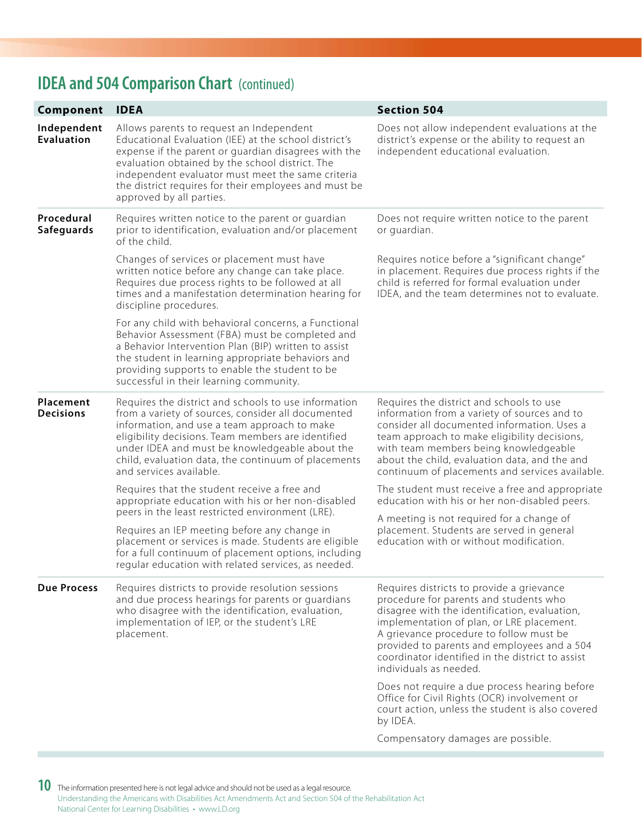## **IDEA and 504 Comparison Chart** (continued)

| Component                        | <b>IDEA</b>                                                                                                                                                                                                                                                                                                                                            | <b>Section 504</b>                                                                                                                                                                                                                                                                                                                                        |
|----------------------------------|--------------------------------------------------------------------------------------------------------------------------------------------------------------------------------------------------------------------------------------------------------------------------------------------------------------------------------------------------------|-----------------------------------------------------------------------------------------------------------------------------------------------------------------------------------------------------------------------------------------------------------------------------------------------------------------------------------------------------------|
| Independent<br><b>Evaluation</b> | Allows parents to request an Independent<br>Educational Evaluation (IEE) at the school district's<br>expense if the parent or guardian disagrees with the<br>evaluation obtained by the school district. The<br>independent evaluator must meet the same criteria<br>the district requires for their employees and must be<br>approved by all parties. | Does not allow independent evaluations at the<br>district's expense or the ability to request an<br>independent educational evaluation.                                                                                                                                                                                                                   |
| Procedural<br><b>Safeguards</b>  | Requires written notice to the parent or guardian<br>prior to identification, evaluation and/or placement<br>of the child.                                                                                                                                                                                                                             | Does not require written notice to the parent<br>or guardian.                                                                                                                                                                                                                                                                                             |
|                                  | Changes of services or placement must have<br>written notice before any change can take place.<br>Requires due process rights to be followed at all<br>times and a manifestation determination hearing for<br>discipline procedures.                                                                                                                   | Requires notice before a "significant change"<br>in placement. Requires due process rights if the<br>child is referred for formal evaluation under<br>IDEA, and the team determines not to evaluate.                                                                                                                                                      |
|                                  | For any child with behavioral concerns, a Functional<br>Behavior Assessment (FBA) must be completed and<br>a Behavior Intervention Plan (BIP) written to assist<br>the student in learning appropriate behaviors and<br>providing supports to enable the student to be<br>successful in their learning community.                                      |                                                                                                                                                                                                                                                                                                                                                           |
| Placement<br><b>Decisions</b>    | Requires the district and schools to use information<br>from a variety of sources, consider all documented<br>information, and use a team approach to make<br>eligibility decisions. Team members are identified<br>under IDEA and must be knowledgeable about the<br>child, evaluation data, the continuum of placements<br>and services available.   | Requires the district and schools to use<br>information from a variety of sources and to<br>consider all documented information. Uses a<br>team approach to make eligibility decisions,<br>with team members being knowledgeable<br>about the child, evaluation data, and the and<br>continuum of placements and services available.                      |
|                                  | Requires that the student receive a free and<br>appropriate education with his or her non-disabled<br>peers in the least restricted environment (LRE).                                                                                                                                                                                                 | The student must receive a free and appropriate<br>education with his or her non-disabled peers.                                                                                                                                                                                                                                                          |
|                                  | Requires an IEP meeting before any change in<br>placement or services is made. Students are eligible<br>for a full continuum of placement options, including<br>regular education with related services, as needed.                                                                                                                                    | A meeting is not required for a change of<br>placement. Students are served in general<br>education with or without modification.                                                                                                                                                                                                                         |
| <b>Due Process</b>               | Requires districts to provide resolution sessions<br>and due process hearings for parents or guardians<br>who disagree with the identification, evaluation,<br>implementation of IEP, or the student's LRE<br>placement.                                                                                                                               | Requires districts to provide a grievance<br>procedure for parents and students who<br>disagree with the identification, evaluation,<br>implementation of plan, or LRE placement.<br>A grievance procedure to follow must be<br>provided to parents and employees and a 504<br>coordinator identified in the district to assist<br>individuals as needed. |
|                                  |                                                                                                                                                                                                                                                                                                                                                        | Does not require a due process hearing before<br>Office for Civil Rights (OCR) involvement or<br>court action, unless the student is also covered<br>by IDEA.                                                                                                                                                                                             |
|                                  |                                                                                                                                                                                                                                                                                                                                                        | Compensatory damages are possible.                                                                                                                                                                                                                                                                                                                        |